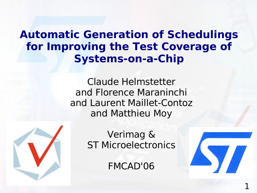#### **Automatic Generation of Schedulings for Improving the Test Coverage of Systems-on-a-Chip**

Claude Helmstetter and Florence Maraninchi and Laurent Maillet-Contoz and Matthieu Moy



Verimag & ST Microelectronics

FMCAD'06

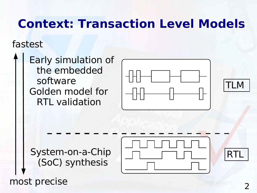## **Context: Transaction Level Models**

#### fastest

Early simulation of the embedded software Golden model for RTL validation





System-on-a-Chip (SoC) synthesis

most precise



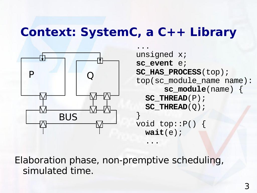#### **Context: SystemC, a C++ Library**



... unsigned x; **sc\_event** e; **SC\_HAS\_PROCESS**(top); top(sc\_module\_name name): **sc\_module**(name) { SC\_THREAD(P); SC\_THREAD(Q); } void top::P() { **wait**(e);

Elaboration phase, non-premptive scheduling, simulated time.

...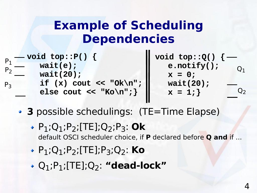## **Example of Scheduling Dependencies**

| $P_{P_1}$ - void top:: P() {                 | void top:: $Q() \{$ |
|----------------------------------------------|---------------------|
| wait(e);<br>$P_{\Omega}$                     | $e.notify()$ ;      |
| wait(20);                                    | $x = 0;$            |
| if $(x)$ cout << "Ok\n";  <br>P <sub>2</sub> | wait(20);           |
| else cout << "Ko\n"; }                       | $x = 1;$            |

- **3** possible schedulings: (TE=Time Elapse)
	- $\cdot$  P<sub>1</sub>;Q<sub>1</sub>;P<sub>2</sub>;[TE];Q<sub>2</sub>;P<sub>3</sub>: Ok default OSCI scheduler choice, if **P** declared before **Q and** if ...

Ш

- P1;Q1;P2;[TE];P3;Q2: **Ko**
- Q1;P1;[TE];Q2: **"dead-lock"**

 $O<sub>1</sub>$ 

 $Q<sub>2</sub>$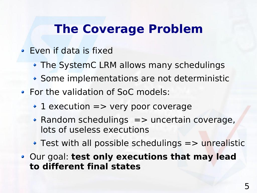## **The Coverage Problem**

- Even if data is fixed
	- The SystemC LRM allows many schedulings
	- Some implementations are not deterministic
- For the validation of SoC models:
	- 1 execution => very poor coverage
	- $\bullet$  Random schedulings  $\Rightarrow$  uncertain coverage, lots of useless executions
	- $\rightarrow$  Test with all possible schedulings  $\Rightarrow$  unrealistic
- Our goal: **test only executions that may lead to different final states**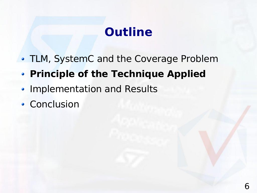# **Outline**

- TLM, SystemC and the Coverage Problem
- **Principle of the Technique Applied**
- Implementation and Results
- Conclusion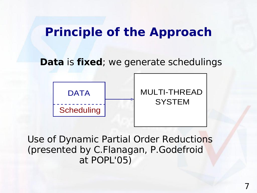#### **Principle of the Approach**

**Data** is **fixed**; we generate schedulings



Use of Dynamic Partial Order Reductions (presented by C.Flanagan, P.Godefroid at POPL'05)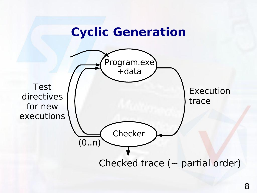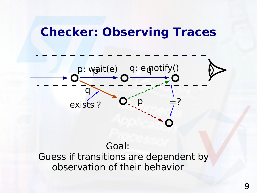#### **Checker: Observing Traces**



Goal: Guess if transitions are dependent by observation of their behavior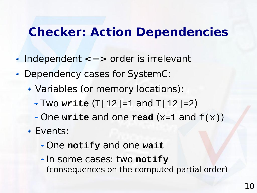#### **Checker: Action Dependencies**

- Independent <=> order is irrelevant
- Dependency cases for SystemC:
	- Variables (or memory locations):
		- Two **write** (T[12]=1 and T[12]=2)
		- One **write** and one **read** (x=1 and f(x))
	- Events:
		- One **notify** and one **wait**
		- In some cases: two **notify** (consequences on the computed partial order)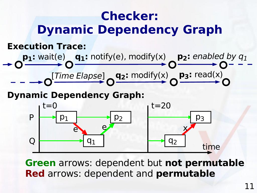

**Green** arrows: dependent but **not permutable Red** arrows: dependent and **permutable**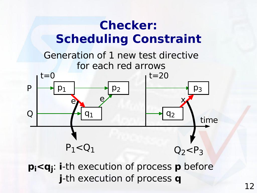

**j**-th execution of process **q**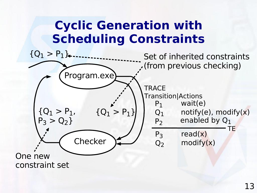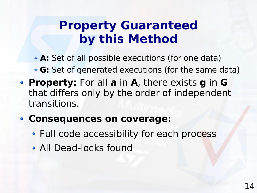## **Property Guaranteed by this Method**

- **A:** Set of all possible executions (for one data)
	- **G:** Set of generated executions (for the same data)
- **Property:** For all **a** in **A**, there exists **g** in **G** that differs only by the order of independent transitions.
- **Consequences on coverage:**
	- Full code accessibility for each process
	- All Dead-locks found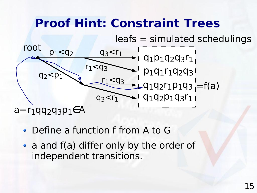## **Proof Hint: Constraint Trees**

leafs = simulated schedulings



- Define a function f from A to G
- a and f(a) differ only by the order of independent transitions.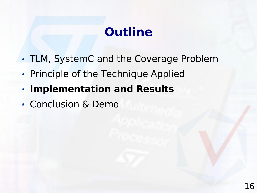# **Outline**

- TLM, SystemC and the Coverage Problem
- Principle of the Technique Applied
- **Implementation and Results**
- Conclusion & Demo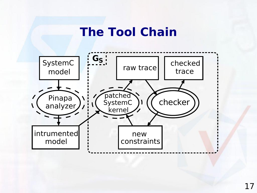#### **The Tool Chain**

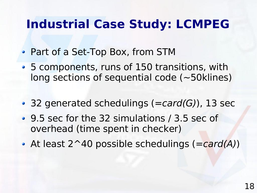## **Industrial Case Study: LCMPEG**

- Part of a Set-Top Box, from STM
- 5 components, runs of 150 transitions, with long sections of sequential code (~50klines)
- 32 generated schedulings  $(=card(G))$ , 13 sec
- 9.5 sec for the 32 simulations / 3.5 sec of overhead (time spent in checker)
- At least  $2^{\wedge}40$  possible schedulings (=card(A))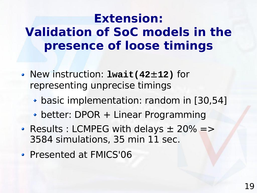## **Extension: Validation of SoC models in the presence of loose timings**

- New instruction: **lwait(42**±**12)** for representing unprecise timings
	- basic implementation: random in [30,54]
	- better: DPOR + Linear Programming
- Results : LCMPEG with delays  $\pm$  20% => 3584 simulations, 35 min 11 sec.
- Presented at FMICS'06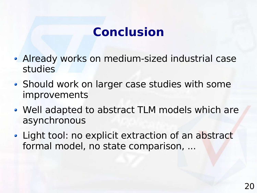# **Conclusion**

- Already works on medium-sized industrial case studies
- Should work on larger case studies with some improvements
- Well adapted to abstract TLM models which are asynchronous
- Light tool: no explicit extraction of an abstract formal model, no state comparison, ...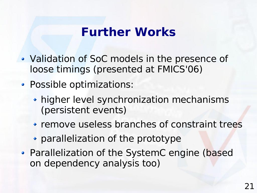#### **Further Works**

- Validation of SoC models in the presence of loose timings (presented at FMICS'06)
- Possible optimizations:
	- higher level synchronization mechanisms (persistent events)
	- remove useless branches of constraint trees
	- parallelization of the prototype
- Parallelization of the SystemC engine (based on dependency analysis too)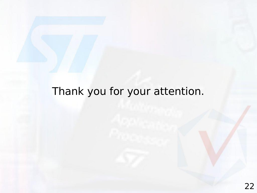#### Thank you for your attention.